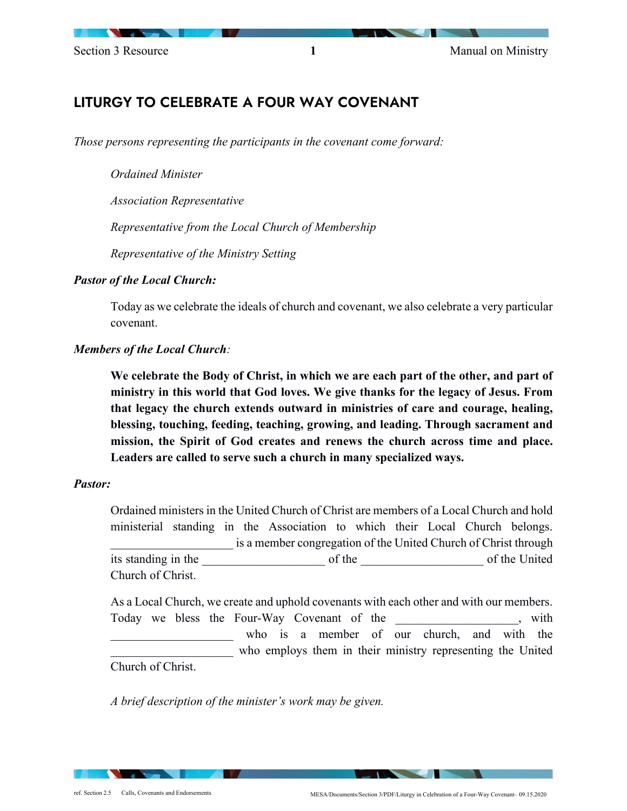# LITURGY TO CELEBRATE A FOUR WAY COVENANT

*Those persons representing the participants in the covenant come forward:* 

*Ordained Minister*

*Association Representative* 

*Representative from the Local Church of Membership* 

*Representative of the Ministry Setting*

### *Pastor of the Local Church:*

Today as we celebrate the ideals of church and covenant, we also celebrate a very particular covenant.

### *Members of the Local Church:*

**We celebrate the Body of Christ, in which we are each part of the other, and part of ministry in this world that God loves. We give thanks for the legacy of Jesus. From that legacy the church extends outward in ministries of care and courage, healing, blessing, touching, feeding, teaching, growing, and leading. Through sacrament and mission, the Spirit of God creates and renews the church across time and place. Leaders are called to serve such a church in many specialized ways.** 

### *Pastor:*

Ordained ministers in the United Church of Christ are members of a Local Church and hold ministerial standing in the Association to which their Local Church belongs. is a member congregation of the United Church of Christ through its standing in the two sets of the standing in the sets of the United standing in the sets of the United standing in the sets of the United standing in the sets of the United standing in the sets of the United standing in Church of Christ.

As a Local Church, we create and uphold covenants with each other and with our members. Today we bless the Four-Way Covenant of the the same with the second vertex with  $\frac{1}{2}$  with who is a member of our church, and with the who employs them in their ministry representing the United Church of Christ.

*A brief description of the minister's work may be given.*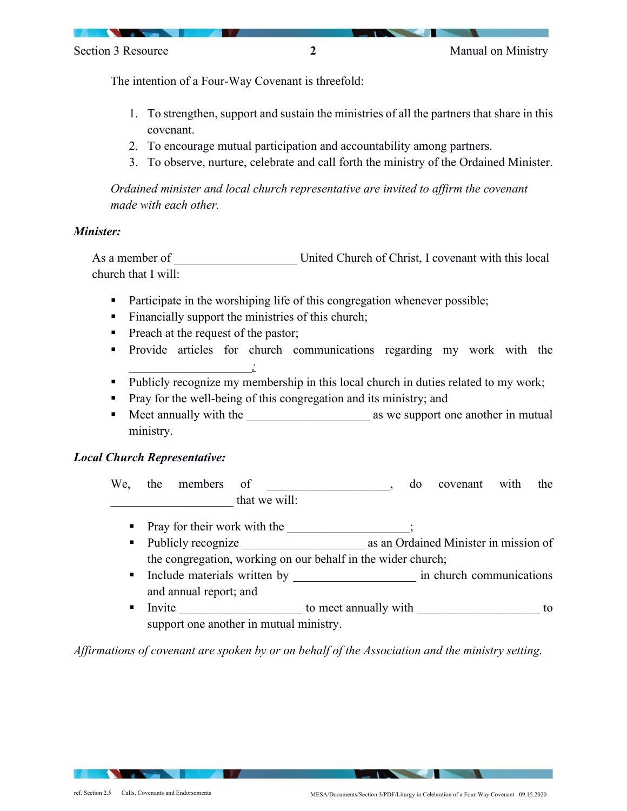The intention of a Four-Way Covenant is threefold:

- 1. To strengthen, support and sustain the ministries of all the partners that share in this covenant.
- 2. To encourage mutual participation and accountability among partners.
- 3. To observe, nurture, celebrate and call forth the ministry of the Ordained Minister.

*Ordained minister and local church representative are invited to affirm the covenant made with each other.* 

### *Minister:*

As a member of **Latter Church of Christ**, I covenant with this local church that I will:

- **Participate in the worshiping life of this congregation whenever possible;**
- Financially support the ministries of this church;
- Preach at the request of the pastor;
- **Provide articles for church communications regarding my work with the** \_\_\_\_\_\_\_\_\_\_\_\_\_\_\_\_\_\_\_\_*;*
- Publicly recognize my membership in this local church in duties related to my work;
- **Pray for the well-being of this congregation and its ministry; and**
- Meet annually with the \_\_\_\_\_\_\_\_\_\_\_\_\_\_\_\_\_\_\_\_ as we support one another in mutual ministry.

## *Local Church Representative:*

| We,           | the | members | 01 |  | do | covenant with | the |
|---------------|-----|---------|----|--|----|---------------|-----|
| that we will: |     |         |    |  |    |               |     |

- Pray for their work with the \_\_\_\_\_\_\_\_\_\_\_\_\_\_\_;
- Publicly recognize as an Ordained Minister in mission of the congregation, working on our behalf in the wider church;
- Include materials written by  $\qquad \qquad$  in church communications and annual report; and
- Invite to meet annually with to compute the state of the state of the state of the state of the state of the state of the state of the state of the state of the state of the state of the state of the state of the state of support one another in mutual ministry.

*Affirmations of covenant are spoken by or on behalf of the Association and the ministry setting.*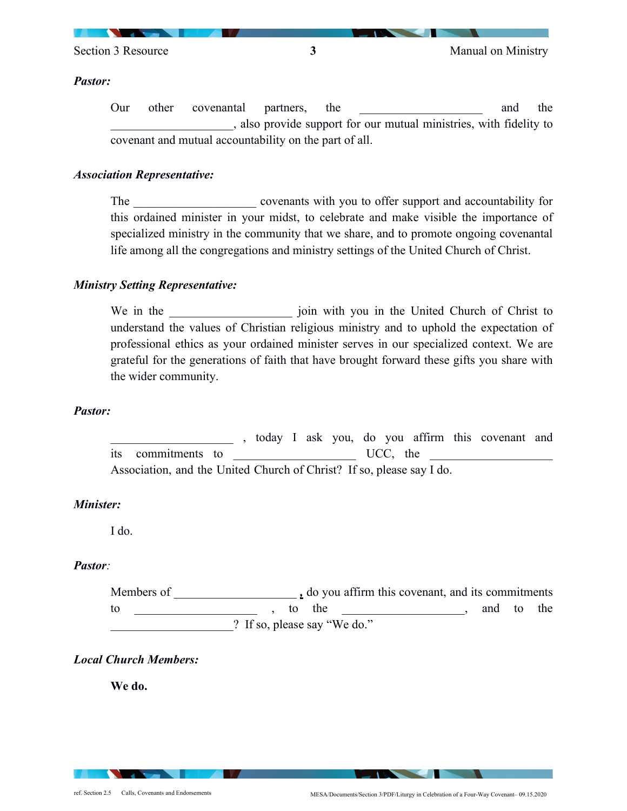

Section 3 Resource **3** Manual on Ministry

#### *Pastor:*

Our other covenantal partners, the \_\_\_\_\_\_\_\_\_\_\_\_\_\_\_\_\_\_\_\_ and the \_\_\_\_\_\_\_\_\_\_\_\_\_\_\_\_\_\_\_\_, also provide support for our mutual ministries, with fidelity to covenant and mutual accountability on the part of all.

### *Association Representative:*

The covenants with you to offer support and accountability for this ordained minister in your midst, to celebrate and make visible the importance of specialized ministry in the community that we share, and to promote ongoing covenantal life among all the congregations and ministry settings of the United Church of Christ.

### *Ministry Setting Representative:*

We in the local intervals in the United Church of Christ to  $\frac{1}{2}$ understand the values of Christian religious ministry and to uphold the expectation of professional ethics as your ordained minister serves in our specialized context. We are grateful for the generations of faith that have brought forward these gifts you share with the wider community.

### *Pastor:*

\_\_\_\_\_\_\_\_\_\_\_\_\_\_\_\_\_\_\_\_ , today I ask you, do you affirm this covenant and its commitments to UCC, the Association, and the United Church of Christ? If so, please say I do.

#### *Minister:*

I do.

### *Pastor:*

Members of *,* do you affirm this covenant, and its commitments to  $\begin{array}{cccccccccccccc} \text{tot} & \text{tot} & \text{tot} & \text{tot} & \text{tot} & \text{tot} & \text{tot} \end{array}$ ? If so, please say "We do."

### *Local Church Members:*

**We do.**